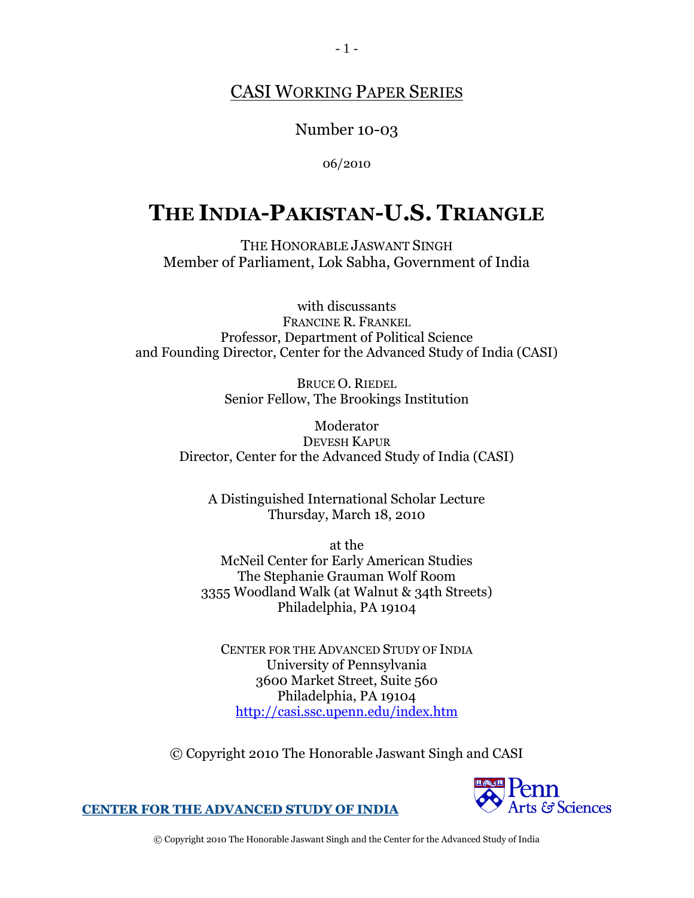## CASI WORKING PAPER SERIES

Number 10-03

06/2010

## **THE INDIA-PAKISTAN-U.S. TRIANGLE**

THE HONORABLE JASWANT SINGH Member of Parliament, Lok Sabha, Government of India

with discussants FRANCINE R. FRANKEL Professor, Department of Political Science and Founding Director, Center for the Advanced Study of India (CASI)

> BRUCE O. RIEDEL Senior Fellow, The Brookings Institution

Moderator DEVESH KAPUR Director, Center for the Advanced Study of India (CASI)

A Distinguished International Scholar Lecture Thursday, March 18, 2010

at the McNeil Center for Early American Studies The Stephanie Grauman Wolf Room 3355 Woodland Walk (at Walnut & 34th Streets) Philadelphia, PA 19104

CENTER FOR THE ADVANCED STUDY OF INDIA University of Pennsylvania 3600 Market Street, Suite 560 Philadelphia, PA 19104 <http://casi.ssc.upenn.edu/index.htm>

© Copyright 2010 The Honorable Jaswant Singh and CASI



**CENTER FOR THE ADVANCED STUDY OF INDIA**

© Copyright 2010 The Honorable Jaswant Singh and the Center for the Advanced Study of India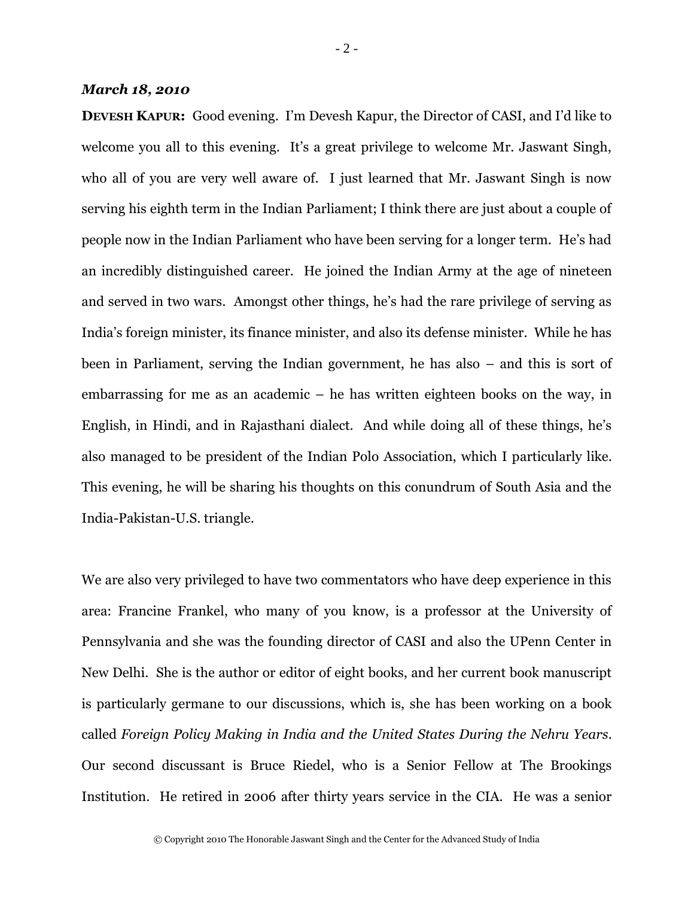## *March 18, 2010*

**DEVESH KAPUR:** Good evening. I'm Devesh Kapur, the Director of CASI, and I'd like to welcome you all to this evening. It's a great privilege to welcome Mr. Jaswant Singh, who all of you are very well aware of. I just learned that Mr. Jaswant Singh is now serving his eighth term in the Indian Parliament; I think there are just about a couple of people now in the Indian Parliament who have been serving for a longer term. He's had an incredibly distinguished career. He joined the Indian Army at the age of nineteen and served in two wars. Amongst other things, he's had the rare privilege of serving as India's foreign minister, its finance minister, and also its defense minister. While he has been in Parliament, serving the Indian government, he has also – and this is sort of embarrassing for me as an academic – he has written eighteen books on the way, in English, in Hindi, and in Rajasthani dialect. And while doing all of these things, he's also managed to be president of the Indian Polo Association, which I particularly like. This evening, he will be sharing his thoughts on this conundrum of South Asia and the India-Pakistan-U.S. triangle.

We are also very privileged to have two commentators who have deep experience in this area: Francine Frankel, who many of you know, is a professor at the University of Pennsylvania and she was the founding director of CASI and also the UPenn Center in New Delhi. She is the author or editor of eight books, and her current book manuscript is particularly germane to our discussions, which is, she has been working on a book called *Foreign Policy Making in India and the United States During the Nehru Years*. Our second discussant is Bruce Riedel, who is a Senior Fellow at The Brookings Institution. He retired in 2006 after thirty years service in the CIA. He was a senior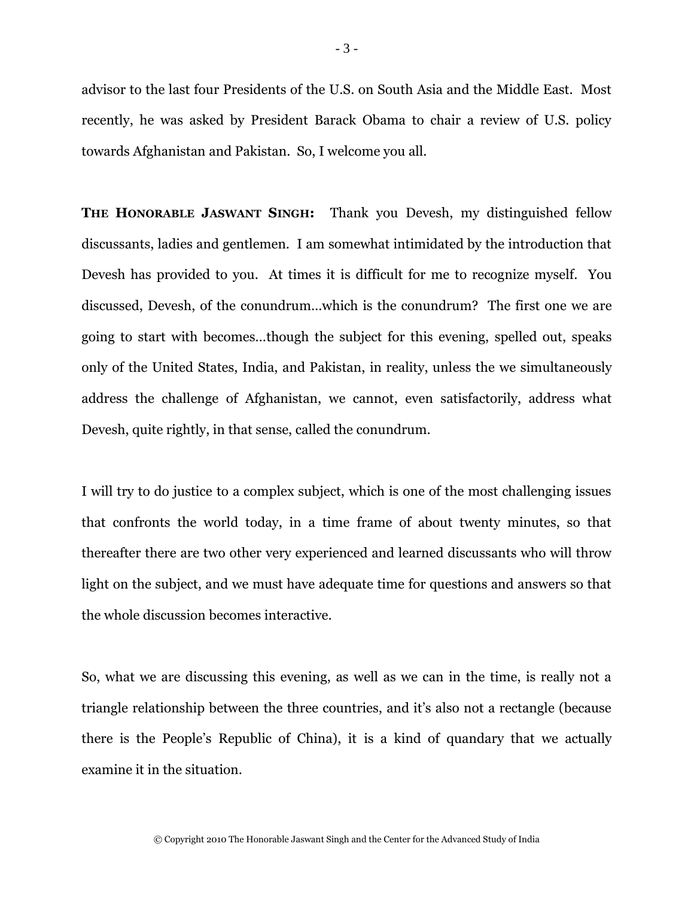advisor to the last four Presidents of the U.S. on South Asia and the Middle East. Most recently, he was asked by President Barack Obama to chair a review of U.S. policy towards Afghanistan and Pakistan. So, I welcome you all.

**THE HONORABLE JASWANT SINGH:** Thank you Devesh, my distinguished fellow discussants, ladies and gentlemen. I am somewhat intimidated by the introduction that Devesh has provided to you. At times it is difficult for me to recognize myself. You discussed, Devesh, of the conundrum…which is the conundrum? The first one we are going to start with becomes…though the subject for this evening, spelled out, speaks only of the United States, India, and Pakistan, in reality, unless the we simultaneously address the challenge of Afghanistan, we cannot, even satisfactorily, address what Devesh, quite rightly, in that sense, called the conundrum.

I will try to do justice to a complex subject, which is one of the most challenging issues that confronts the world today, in a time frame of about twenty minutes, so that thereafter there are two other very experienced and learned discussants who will throw light on the subject, and we must have adequate time for questions and answers so that the whole discussion becomes interactive.

So, what we are discussing this evening, as well as we can in the time, is really not a triangle relationship between the three countries, and it's also not a rectangle (because there is the People's Republic of China), it is a kind of quandary that we actually examine it in the situation.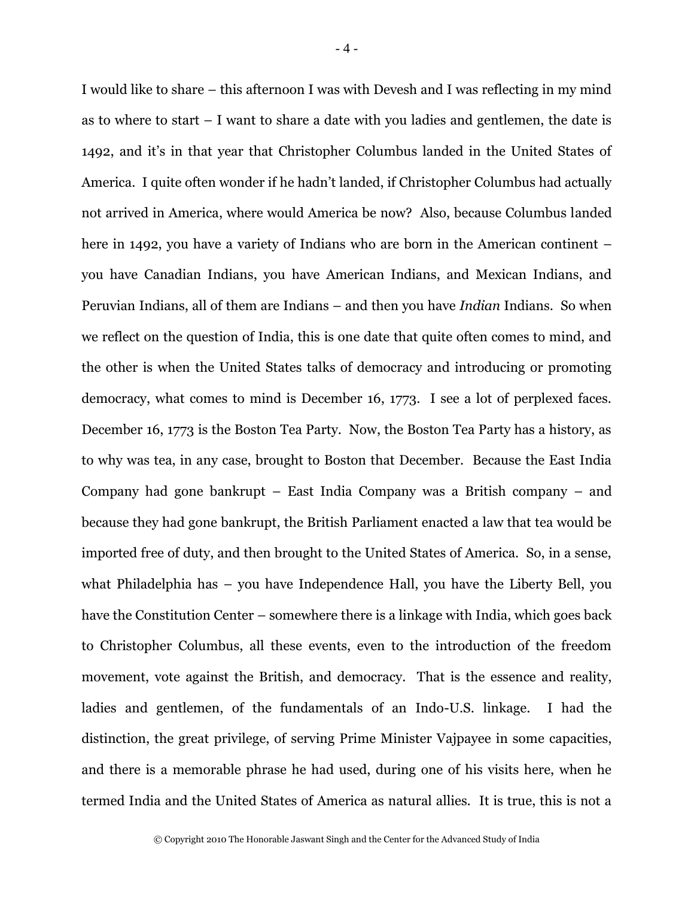I would like to share – this afternoon I was with Devesh and I was reflecting in my mind as to where to start – I want to share a date with you ladies and gentlemen, the date is 1492, and it's in that year that Christopher Columbus landed in the United States of America. I quite often wonder if he hadn't landed, if Christopher Columbus had actually not arrived in America, where would America be now? Also, because Columbus landed here in 1492, you have a variety of Indians who are born in the American continent – you have Canadian Indians, you have American Indians, and Mexican Indians, and Peruvian Indians, all of them are Indians – and then you have *Indian* Indians. So when we reflect on the question of India, this is one date that quite often comes to mind, and the other is when the United States talks of democracy and introducing or promoting democracy, what comes to mind is December 16, 1773. I see a lot of perplexed faces. December 16, 1773 is the Boston Tea Party. Now, the Boston Tea Party has a history, as to why was tea, in any case, brought to Boston that December. Because the East India Company had gone bankrupt – East India Company was a British company – and because they had gone bankrupt, the British Parliament enacted a law that tea would be imported free of duty, and then brought to the United States of America. So, in a sense, what Philadelphia has – you have Independence Hall, you have the Liberty Bell, you have the Constitution Center – somewhere there is a linkage with India, which goes back to Christopher Columbus, all these events, even to the introduction of the freedom movement, vote against the British, and democracy. That is the essence and reality, ladies and gentlemen, of the fundamentals of an Indo-U.S. linkage. I had the distinction, the great privilege, of serving Prime Minister Vajpayee in some capacities, and there is a memorable phrase he had used, during one of his visits here, when he termed India and the United States of America as natural allies. It is true, this is not a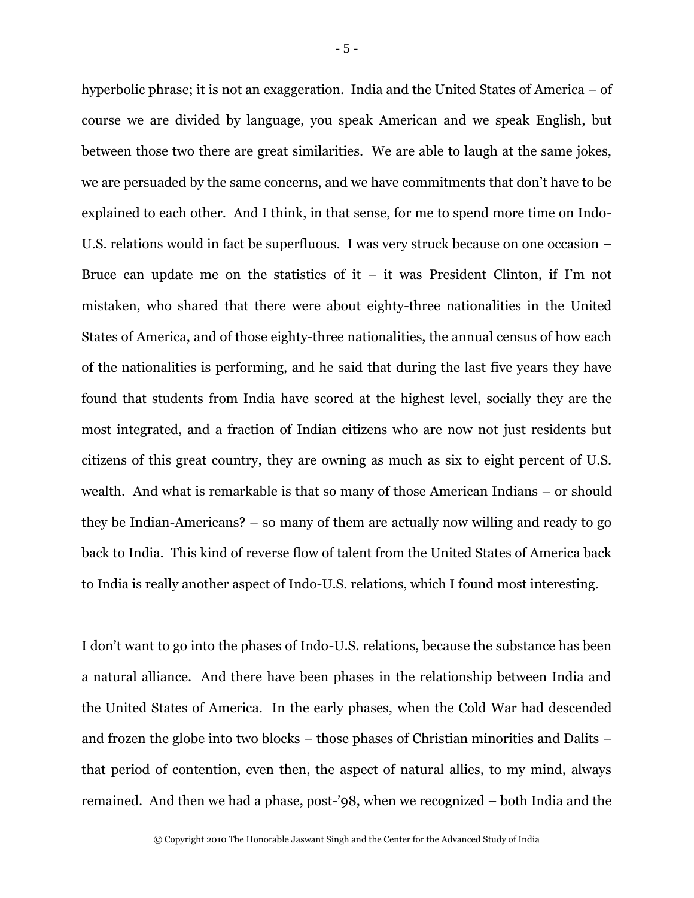hyperbolic phrase; it is not an exaggeration. India and the United States of America – of course we are divided by language, you speak American and we speak English, but between those two there are great similarities. We are able to laugh at the same jokes, we are persuaded by the same concerns, and we have commitments that don't have to be explained to each other. And I think, in that sense, for me to spend more time on Indo-U.S. relations would in fact be superfluous. I was very struck because on one occasion – Bruce can update me on the statistics of it – it was President Clinton, if I'm not mistaken, who shared that there were about eighty-three nationalities in the United States of America, and of those eighty-three nationalities, the annual census of how each of the nationalities is performing, and he said that during the last five years they have found that students from India have scored at the highest level, socially they are the most integrated, and a fraction of Indian citizens who are now not just residents but citizens of this great country, they are owning as much as six to eight percent of U.S. wealth. And what is remarkable is that so many of those American Indians – or should they be Indian-Americans? – so many of them are actually now willing and ready to go back to India. This kind of reverse flow of talent from the United States of America back to India is really another aspect of Indo-U.S. relations, which I found most interesting.

I don't want to go into the phases of Indo-U.S. relations, because the substance has been a natural alliance. And there have been phases in the relationship between India and the United States of America. In the early phases, when the Cold War had descended and frozen the globe into two blocks – those phases of Christian minorities and Dalits – that period of contention, even then, the aspect of natural allies, to my mind, always remained. And then we had a phase, post-'98, when we recognized – both India and the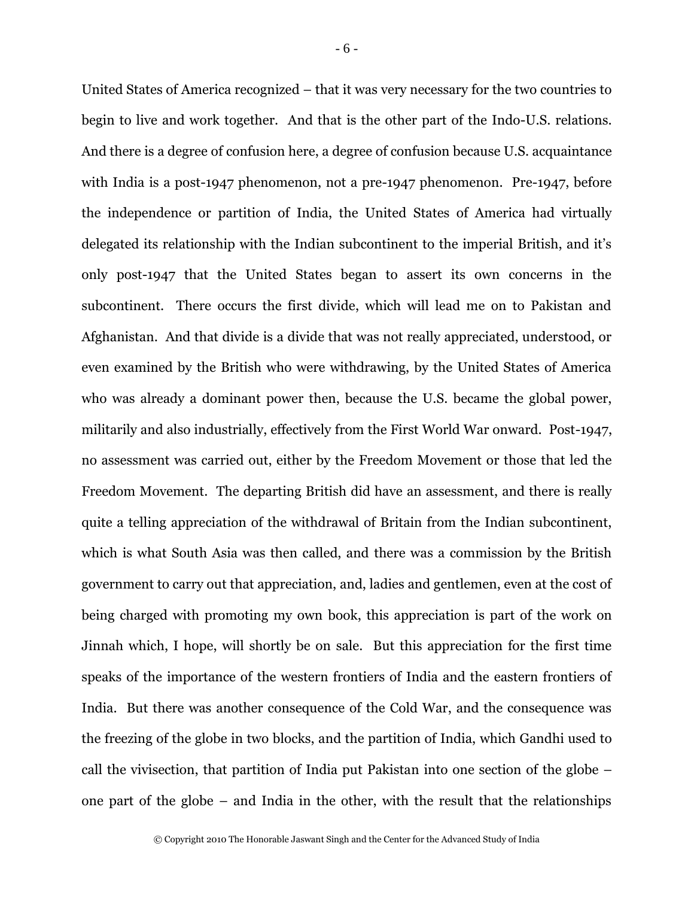United States of America recognized – that it was very necessary for the two countries to begin to live and work together. And that is the other part of the Indo-U.S. relations. And there is a degree of confusion here, a degree of confusion because U.S. acquaintance with India is a post-1947 phenomenon, not a pre-1947 phenomenon. Pre-1947, before the independence or partition of India, the United States of America had virtually delegated its relationship with the Indian subcontinent to the imperial British, and it's only post-1947 that the United States began to assert its own concerns in the subcontinent. There occurs the first divide, which will lead me on to Pakistan and Afghanistan. And that divide is a divide that was not really appreciated, understood, or even examined by the British who were withdrawing, by the United States of America who was already a dominant power then, because the U.S. became the global power, militarily and also industrially, effectively from the First World War onward. Post-1947, no assessment was carried out, either by the Freedom Movement or those that led the Freedom Movement. The departing British did have an assessment, and there is really quite a telling appreciation of the withdrawal of Britain from the Indian subcontinent, which is what South Asia was then called, and there was a commission by the British government to carry out that appreciation, and, ladies and gentlemen, even at the cost of being charged with promoting my own book, this appreciation is part of the work on Jinnah which, I hope, will shortly be on sale. But this appreciation for the first time speaks of the importance of the western frontiers of India and the eastern frontiers of India. But there was another consequence of the Cold War, and the consequence was the freezing of the globe in two blocks, and the partition of India, which Gandhi used to call the vivisection, that partition of India put Pakistan into one section of the globe – one part of the globe – and India in the other, with the result that the relationships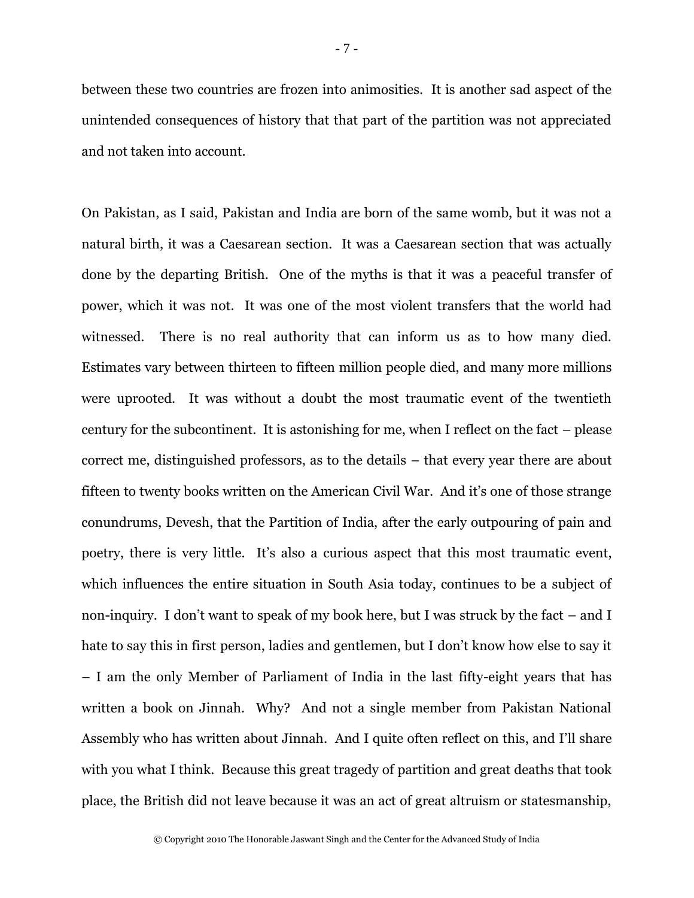between these two countries are frozen into animosities. It is another sad aspect of the unintended consequences of history that that part of the partition was not appreciated and not taken into account.

On Pakistan, as I said, Pakistan and India are born of the same womb, but it was not a natural birth, it was a Caesarean section. It was a Caesarean section that was actually done by the departing British. One of the myths is that it was a peaceful transfer of power, which it was not. It was one of the most violent transfers that the world had witnessed. There is no real authority that can inform us as to how many died. Estimates vary between thirteen to fifteen million people died, and many more millions were uprooted. It was without a doubt the most traumatic event of the twentieth century for the subcontinent. It is astonishing for me, when I reflect on the fact – please correct me, distinguished professors, as to the details – that every year there are about fifteen to twenty books written on the American Civil War. And it's one of those strange conundrums, Devesh, that the Partition of India, after the early outpouring of pain and poetry, there is very little. It's also a curious aspect that this most traumatic event, which influences the entire situation in South Asia today, continues to be a subject of non-inquiry. I don't want to speak of my book here, but I was struck by the fact – and I hate to say this in first person, ladies and gentlemen, but I don't know how else to say it – I am the only Member of Parliament of India in the last fifty-eight years that has written a book on Jinnah. Why? And not a single member from Pakistan National Assembly who has written about Jinnah. And I quite often reflect on this, and I'll share with you what I think. Because this great tragedy of partition and great deaths that took place, the British did not leave because it was an act of great altruism or statesmanship,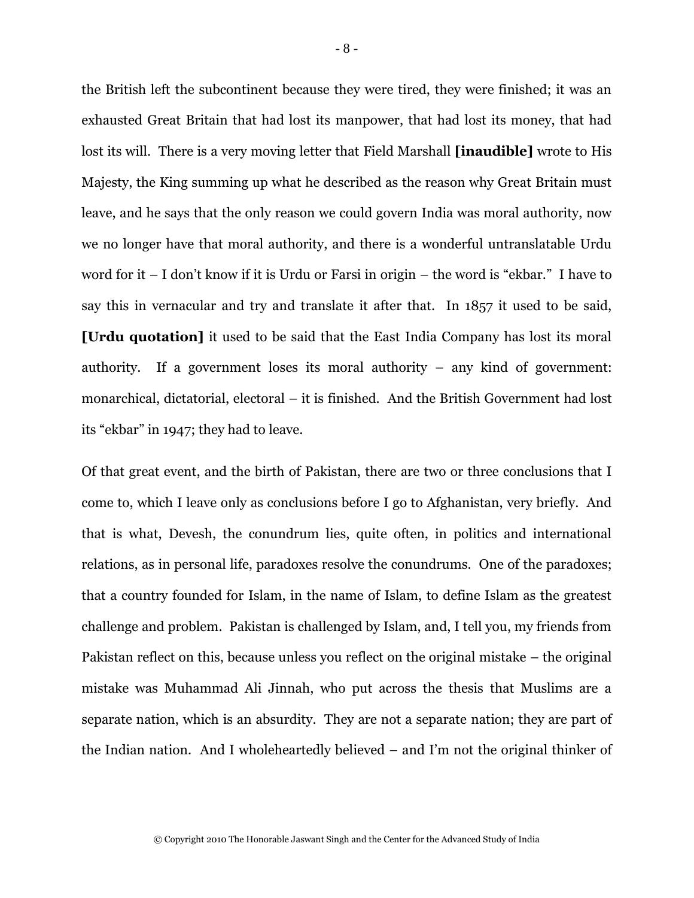the British left the subcontinent because they were tired, they were finished; it was an exhausted Great Britain that had lost its manpower, that had lost its money, that had lost its will. There is a very moving letter that Field Marshall **[inaudible]** wrote to His Majesty, the King summing up what he described as the reason why Great Britain must leave, and he says that the only reason we could govern India was moral authority, now we no longer have that moral authority, and there is a wonderful untranslatable Urdu word for it – I don't know if it is Urdu or Farsi in origin – the word is "ekbar." I have to say this in vernacular and try and translate it after that. In 1857 it used to be said, **[Urdu quotation]** it used to be said that the East India Company has lost its moral authority. If a government loses its moral authority – any kind of government: monarchical, dictatorial, electoral – it is finished. And the British Government had lost its "ekbar" in 1947; they had to leave.

Of that great event, and the birth of Pakistan, there are two or three conclusions that I come to, which I leave only as conclusions before I go to Afghanistan, very briefly. And that is what, Devesh, the conundrum lies, quite often, in politics and international relations, as in personal life, paradoxes resolve the conundrums. One of the paradoxes; that a country founded for Islam, in the name of Islam, to define Islam as the greatest challenge and problem. Pakistan is challenged by Islam, and, I tell you, my friends from Pakistan reflect on this, because unless you reflect on the original mistake – the original mistake was Muhammad Ali Jinnah, who put across the thesis that Muslims are a separate nation, which is an absurdity. They are not a separate nation; they are part of the Indian nation. And I wholeheartedly believed – and I'm not the original thinker of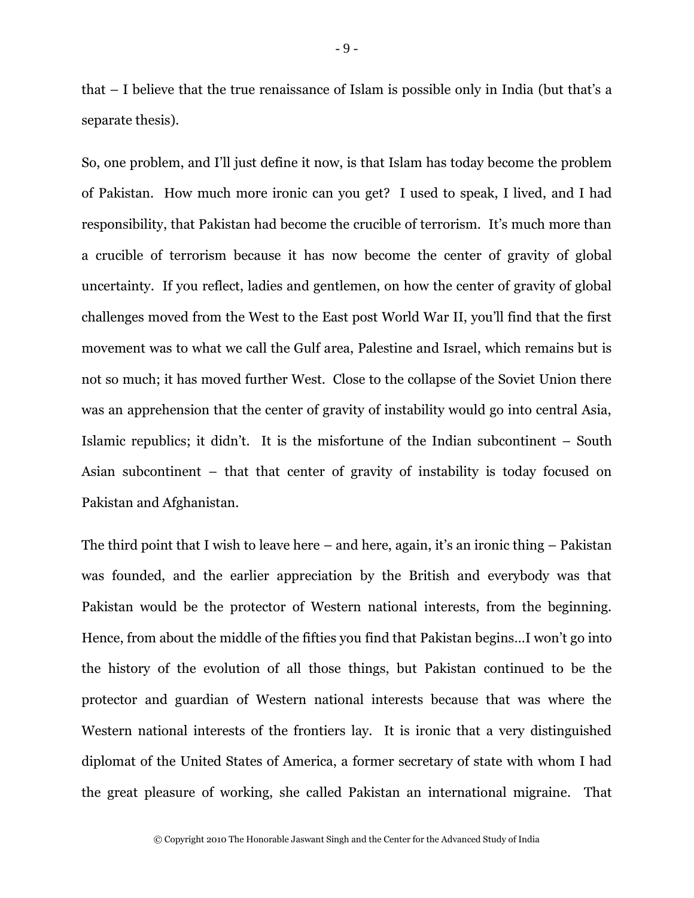that – I believe that the true renaissance of Islam is possible only in India (but that's a separate thesis).

So, one problem, and I'll just define it now, is that Islam has today become the problem of Pakistan. How much more ironic can you get? I used to speak, I lived, and I had responsibility, that Pakistan had become the crucible of terrorism. It's much more than a crucible of terrorism because it has now become the center of gravity of global uncertainty. If you reflect, ladies and gentlemen, on how the center of gravity of global challenges moved from the West to the East post World War II, you'll find that the first movement was to what we call the Gulf area, Palestine and Israel, which remains but is not so much; it has moved further West. Close to the collapse of the Soviet Union there was an apprehension that the center of gravity of instability would go into central Asia, Islamic republics; it didn't. It is the misfortune of the Indian subcontinent – South Asian subcontinent – that that center of gravity of instability is today focused on Pakistan and Afghanistan.

The third point that I wish to leave here – and here, again, it's an ironic thing – Pakistan was founded, and the earlier appreciation by the British and everybody was that Pakistan would be the protector of Western national interests, from the beginning. Hence, from about the middle of the fifties you find that Pakistan begins…I won't go into the history of the evolution of all those things, but Pakistan continued to be the protector and guardian of Western national interests because that was where the Western national interests of the frontiers lay. It is ironic that a very distinguished diplomat of the United States of America, a former secretary of state with whom I had the great pleasure of working, she called Pakistan an international migraine. That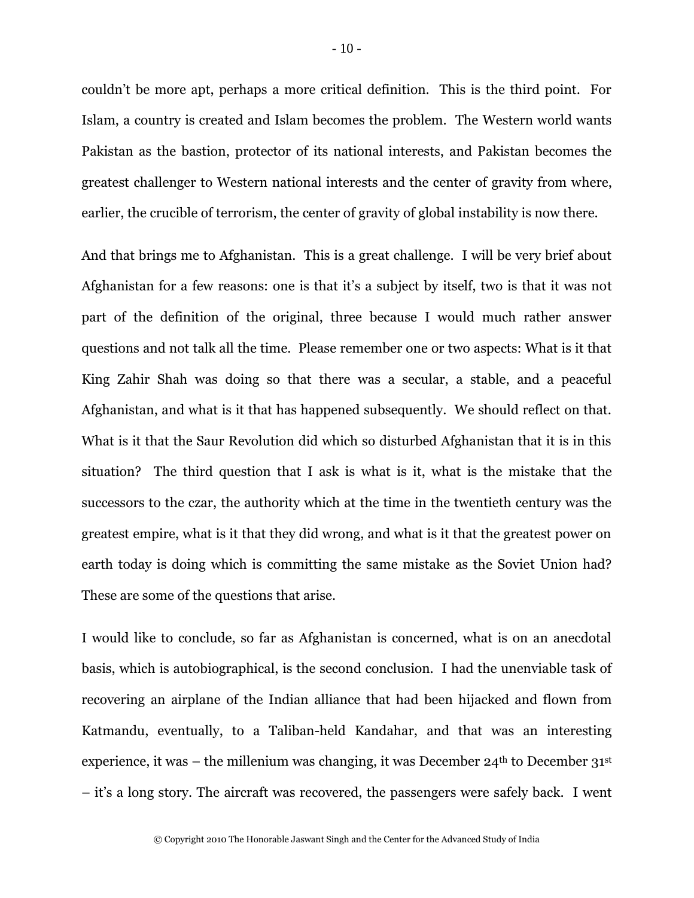couldn't be more apt, perhaps a more critical definition. This is the third point. For Islam, a country is created and Islam becomes the problem. The Western world wants Pakistan as the bastion, protector of its national interests, and Pakistan becomes the greatest challenger to Western national interests and the center of gravity from where, earlier, the crucible of terrorism, the center of gravity of global instability is now there.

And that brings me to Afghanistan. This is a great challenge. I will be very brief about Afghanistan for a few reasons: one is that it's a subject by itself, two is that it was not part of the definition of the original, three because I would much rather answer questions and not talk all the time. Please remember one or two aspects: What is it that King Zahir Shah was doing so that there was a secular, a stable, and a peaceful Afghanistan, and what is it that has happened subsequently. We should reflect on that. What is it that the Saur Revolution did which so disturbed Afghanistan that it is in this situation? The third question that I ask is what is it, what is the mistake that the successors to the czar, the authority which at the time in the twentieth century was the greatest empire, what is it that they did wrong, and what is it that the greatest power on earth today is doing which is committing the same mistake as the Soviet Union had? These are some of the questions that arise.

I would like to conclude, so far as Afghanistan is concerned, what is on an anecdotal basis, which is autobiographical, is the second conclusion. I had the unenviable task of recovering an airplane of the Indian alliance that had been hijacked and flown from Katmandu, eventually, to a Taliban-held Kandahar, and that was an interesting experience, it was – the millenium was changing, it was December  $24<sup>th</sup>$  to December  $31<sup>st</sup>$ – it's a long story. The aircraft was recovered, the passengers were safely back. I went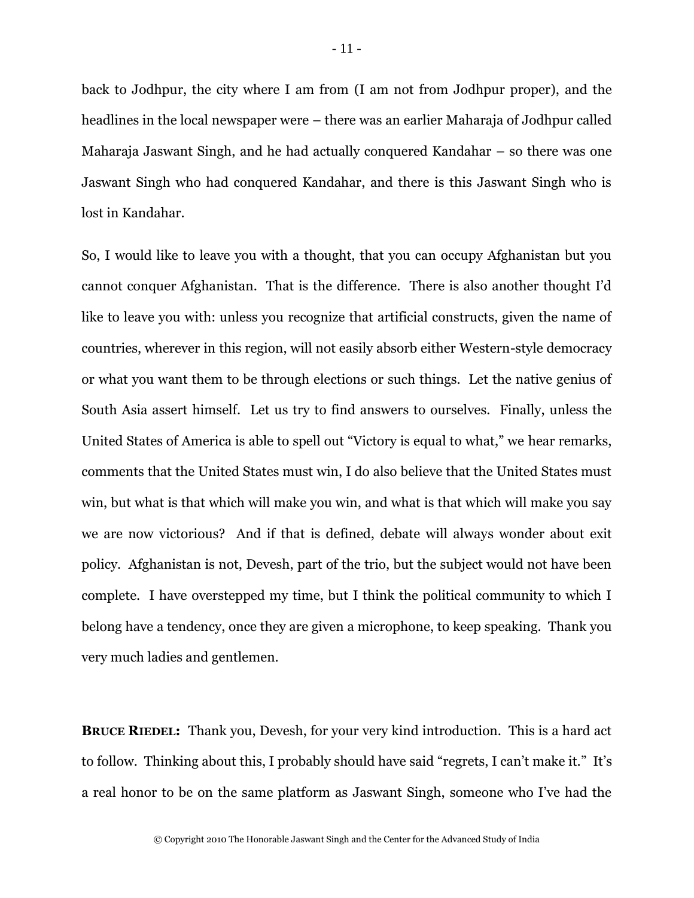back to Jodhpur, the city where I am from (I am not from Jodhpur proper), and the headlines in the local newspaper were – there was an earlier Maharaja of Jodhpur called Maharaja Jaswant Singh, and he had actually conquered Kandahar – so there was one Jaswant Singh who had conquered Kandahar, and there is this Jaswant Singh who is lost in Kandahar.

So, I would like to leave you with a thought, that you can occupy Afghanistan but you cannot conquer Afghanistan. That is the difference. There is also another thought I'd like to leave you with: unless you recognize that artificial constructs, given the name of countries, wherever in this region, will not easily absorb either Western-style democracy or what you want them to be through elections or such things. Let the native genius of South Asia assert himself. Let us try to find answers to ourselves. Finally, unless the United States of America is able to spell out "Victory is equal to what," we hear remarks, comments that the United States must win, I do also believe that the United States must win, but what is that which will make you win, and what is that which will make you say we are now victorious? And if that is defined, debate will always wonder about exit policy. Afghanistan is not, Devesh, part of the trio, but the subject would not have been complete. I have overstepped my time, but I think the political community to which I belong have a tendency, once they are given a microphone, to keep speaking. Thank you very much ladies and gentlemen.

**BRUCE RIEDEL:** Thank you, Devesh, for your very kind introduction. This is a hard act to follow. Thinking about this, I probably should have said "regrets, I can't make it." It's a real honor to be on the same platform as Jaswant Singh, someone who I've had the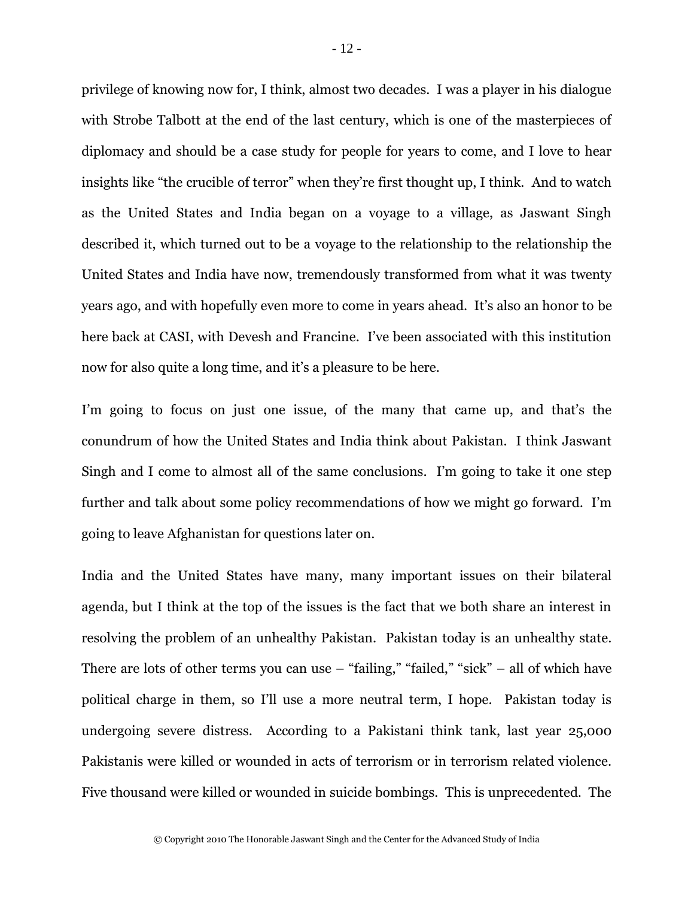privilege of knowing now for, I think, almost two decades. I was a player in his dialogue with Strobe Talbott at the end of the last century, which is one of the masterpieces of diplomacy and should be a case study for people for years to come, and I love to hear insights like "the crucible of terror" when they're first thought up, I think. And to watch as the United States and India began on a voyage to a village, as Jaswant Singh described it, which turned out to be a voyage to the relationship to the relationship the United States and India have now, tremendously transformed from what it was twenty years ago, and with hopefully even more to come in years ahead. It's also an honor to be here back at CASI, with Devesh and Francine. I've been associated with this institution now for also quite a long time, and it's a pleasure to be here.

I'm going to focus on just one issue, of the many that came up, and that's the conundrum of how the United States and India think about Pakistan. I think Jaswant Singh and I come to almost all of the same conclusions. I'm going to take it one step further and talk about some policy recommendations of how we might go forward. I'm going to leave Afghanistan for questions later on.

India and the United States have many, many important issues on their bilateral agenda, but I think at the top of the issues is the fact that we both share an interest in resolving the problem of an unhealthy Pakistan. Pakistan today is an unhealthy state. There are lots of other terms you can use  $-$  "failing," "failed," "sick"  $-$  all of which have political charge in them, so I'll use a more neutral term, I hope. Pakistan today is undergoing severe distress. According to a Pakistani think tank, last year 25,000 Pakistanis were killed or wounded in acts of terrorism or in terrorism related violence. Five thousand were killed or wounded in suicide bombings. This is unprecedented. The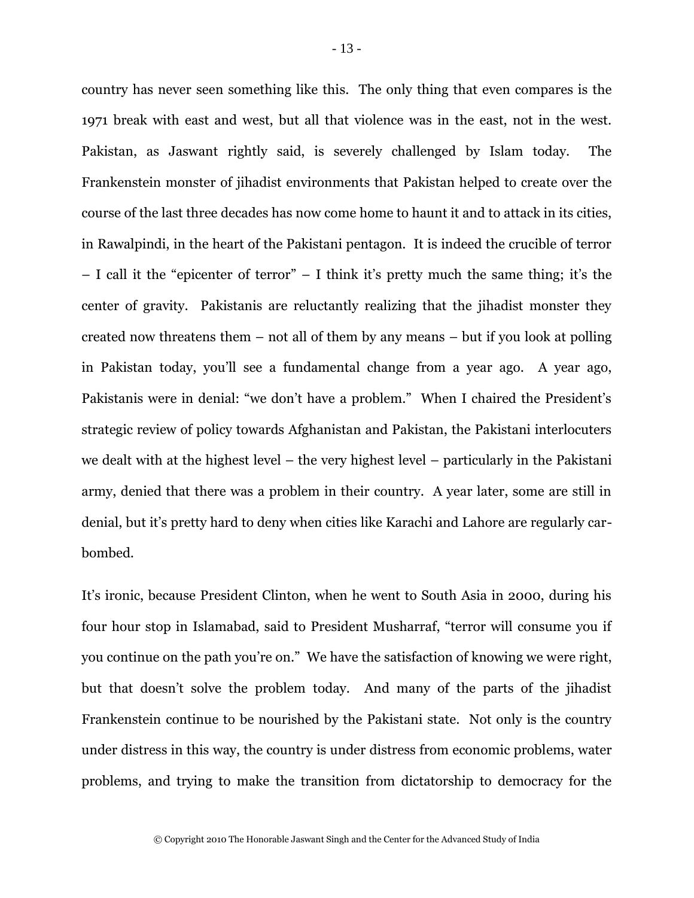country has never seen something like this. The only thing that even compares is the 1971 break with east and west, but all that violence was in the east, not in the west. Pakistan, as Jaswant rightly said, is severely challenged by Islam today. The Frankenstein monster of jihadist environments that Pakistan helped to create over the course of the last three decades has now come home to haunt it and to attack in its cities, in Rawalpindi, in the heart of the Pakistani pentagon. It is indeed the crucible of terror – I call it the "epicenter of terror" – I think it's pretty much the same thing; it's the center of gravity. Pakistanis are reluctantly realizing that the jihadist monster they created now threatens them – not all of them by any means – but if you look at polling in Pakistan today, you'll see a fundamental change from a year ago. A year ago, Pakistanis were in denial: "we don't have a problem." When I chaired the President's strategic review of policy towards Afghanistan and Pakistan, the Pakistani interlocuters we dealt with at the highest level – the very highest level – particularly in the Pakistani army, denied that there was a problem in their country. A year later, some are still in denial, but it's pretty hard to deny when cities like Karachi and Lahore are regularly carbombed.

It's ironic, because President Clinton, when he went to South Asia in 2000, during his four hour stop in Islamabad, said to President Musharraf, "terror will consume you if you continue on the path you're on." We have the satisfaction of knowing we were right, but that doesn't solve the problem today. And many of the parts of the jihadist Frankenstein continue to be nourished by the Pakistani state. Not only is the country under distress in this way, the country is under distress from economic problems, water problems, and trying to make the transition from dictatorship to democracy for the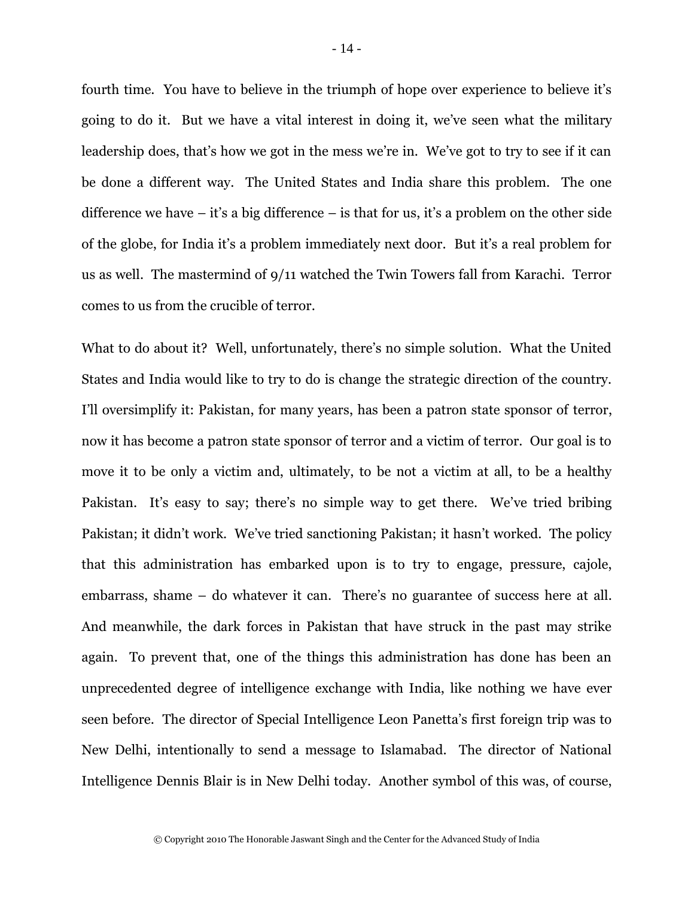fourth time. You have to believe in the triumph of hope over experience to believe it's going to do it. But we have a vital interest in doing it, we've seen what the military leadership does, that's how we got in the mess we're in. We've got to try to see if it can be done a different way. The United States and India share this problem. The one difference we have  $-$  it's a big difference  $-$  is that for us, it's a problem on the other side of the globe, for India it's a problem immediately next door. But it's a real problem for us as well. The mastermind of 9/11 watched the Twin Towers fall from Karachi. Terror comes to us from the crucible of terror.

What to do about it? Well, unfortunately, there's no simple solution. What the United States and India would like to try to do is change the strategic direction of the country. I'll oversimplify it: Pakistan, for many years, has been a patron state sponsor of terror, now it has become a patron state sponsor of terror and a victim of terror. Our goal is to move it to be only a victim and, ultimately, to be not a victim at all, to be a healthy Pakistan. It's easy to say; there's no simple way to get there. We've tried bribing Pakistan; it didn't work. We've tried sanctioning Pakistan; it hasn't worked. The policy that this administration has embarked upon is to try to engage, pressure, cajole, embarrass, shame – do whatever it can. There's no guarantee of success here at all. And meanwhile, the dark forces in Pakistan that have struck in the past may strike again. To prevent that, one of the things this administration has done has been an unprecedented degree of intelligence exchange with India, like nothing we have ever seen before. The director of Special Intelligence Leon Panetta's first foreign trip was to New Delhi, intentionally to send a message to Islamabad. The director of National Intelligence Dennis Blair is in New Delhi today. Another symbol of this was, of course,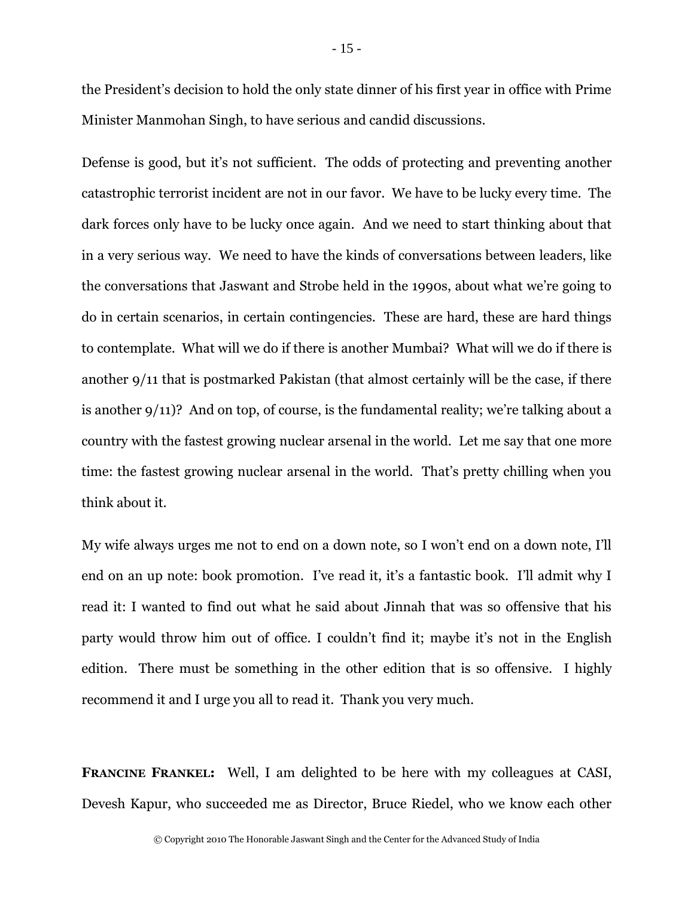the President's decision to hold the only state dinner of his first year in office with Prime Minister Manmohan Singh, to have serious and candid discussions.

Defense is good, but it's not sufficient. The odds of protecting and preventing another catastrophic terrorist incident are not in our favor. We have to be lucky every time. The dark forces only have to be lucky once again. And we need to start thinking about that in a very serious way. We need to have the kinds of conversations between leaders, like the conversations that Jaswant and Strobe held in the 1990s, about what we're going to do in certain scenarios, in certain contingencies. These are hard, these are hard things to contemplate. What will we do if there is another Mumbai? What will we do if there is another 9/11 that is postmarked Pakistan (that almost certainly will be the case, if there is another 9/11)? And on top, of course, is the fundamental reality; we're talking about a country with the fastest growing nuclear arsenal in the world. Let me say that one more time: the fastest growing nuclear arsenal in the world. That's pretty chilling when you think about it.

My wife always urges me not to end on a down note, so I won't end on a down note, I'll end on an up note: book promotion. I've read it, it's a fantastic book. I'll admit why I read it: I wanted to find out what he said about Jinnah that was so offensive that his party would throw him out of office. I couldn't find it; maybe it's not in the English edition. There must be something in the other edition that is so offensive. I highly recommend it and I urge you all to read it. Thank you very much.

**FRANCINE FRANKEL:** Well, I am delighted to be here with my colleagues at CASI, Devesh Kapur, who succeeded me as Director, Bruce Riedel, who we know each other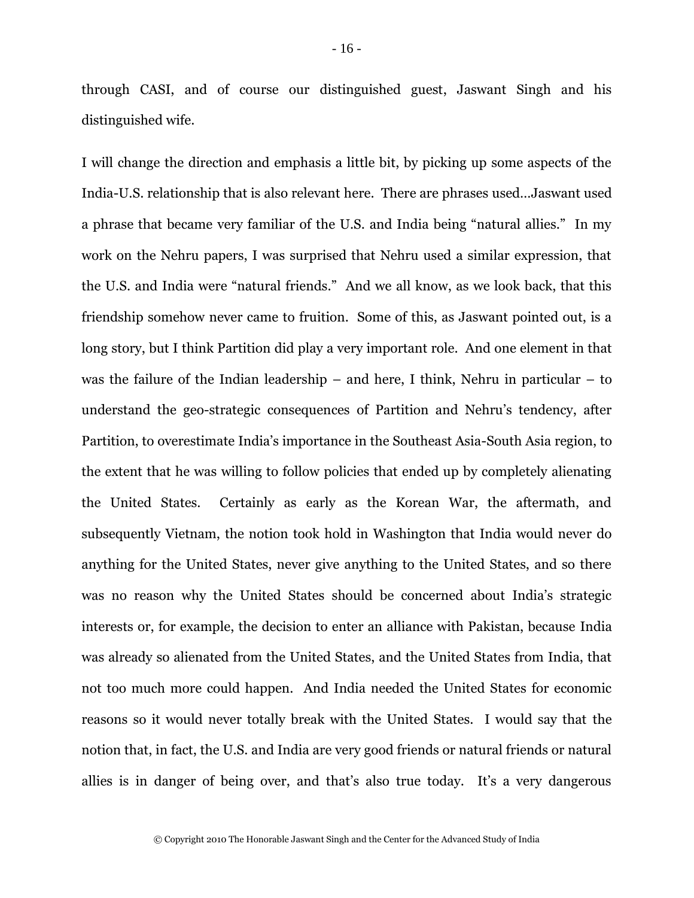through CASI, and of course our distinguished guest, Jaswant Singh and his distinguished wife.

I will change the direction and emphasis a little bit, by picking up some aspects of the India-U.S. relationship that is also relevant here. There are phrases used…Jaswant used a phrase that became very familiar of the U.S. and India being "natural allies." In my work on the Nehru papers, I was surprised that Nehru used a similar expression, that the U.S. and India were "natural friends." And we all know, as we look back, that this friendship somehow never came to fruition. Some of this, as Jaswant pointed out, is a long story, but I think Partition did play a very important role. And one element in that was the failure of the Indian leadership – and here, I think, Nehru in particular – to understand the geo-strategic consequences of Partition and Nehru's tendency, after Partition, to overestimate India's importance in the Southeast Asia-South Asia region, to the extent that he was willing to follow policies that ended up by completely alienating the United States. Certainly as early as the Korean War, the aftermath, and subsequently Vietnam, the notion took hold in Washington that India would never do anything for the United States, never give anything to the United States, and so there was no reason why the United States should be concerned about India's strategic interests or, for example, the decision to enter an alliance with Pakistan, because India was already so alienated from the United States, and the United States from India, that not too much more could happen. And India needed the United States for economic reasons so it would never totally break with the United States. I would say that the notion that, in fact, the U.S. and India are very good friends or natural friends or natural allies is in danger of being over, and that's also true today. It's a very dangerous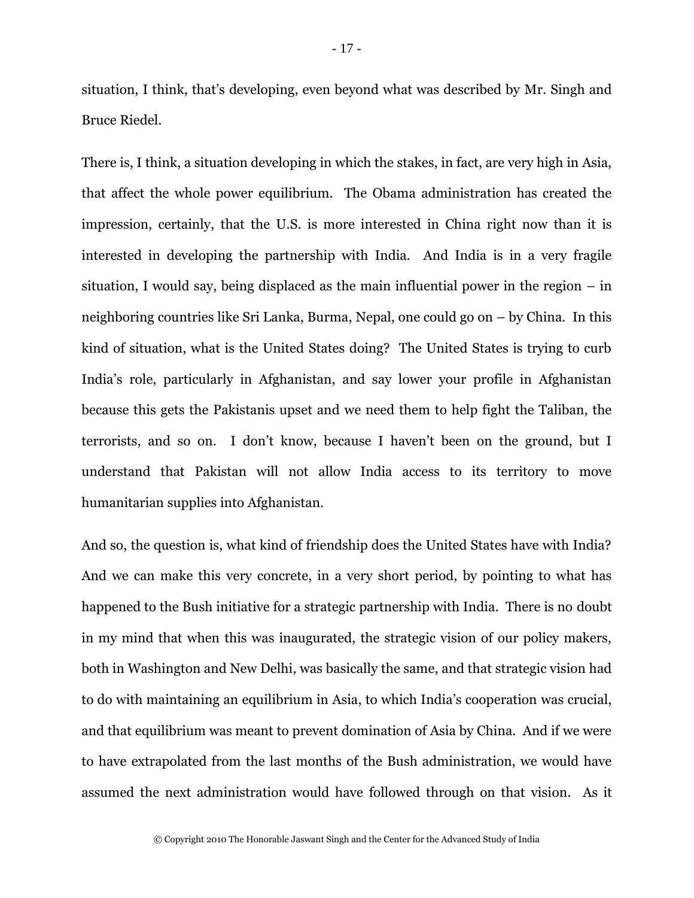situation, I think, that's developing, even beyond what was described by Mr. Singh and Bruce Riedel.

There is, I think, a situation developing in which the stakes, in fact, are very high in Asia, that affect the whole power equilibrium. The Obama administration has created the impression, certainly, that the U.S. is more interested in China right now than it is interested in developing the partnership with India. And India is in a very fragile situation, I would say, being displaced as the main influential power in the region – in neighboring countries like Sri Lanka, Burma, Nepal, one could go on – by China. In this kind of situation, what is the United States doing? The United States is trying to curb India's role, particularly in Afghanistan, and say lower your profile in Afghanistan because this gets the Pakistanis upset and we need them to help fight the Taliban, the terrorists, and so on. I don't know, because I haven't been on the ground, but I understand that Pakistan will not allow India access to its territory to move humanitarian supplies into Afghanistan.

And so, the question is, what kind of friendship does the United States have with India? And we can make this very concrete, in a very short period, by pointing to what has happened to the Bush initiative for a strategic partnership with India. There is no doubt in my mind that when this was inaugurated, the strategic vision of our policy makers, both in Washington and New Delhi, was basically the same, and that strategic vision had to do with maintaining an equilibrium in Asia, to which India's cooperation was crucial, and that equilibrium was meant to prevent domination of Asia by China. And if we were to have extrapolated from the last months of the Bush administration, we would have assumed the next administration would have followed through on that vision. As it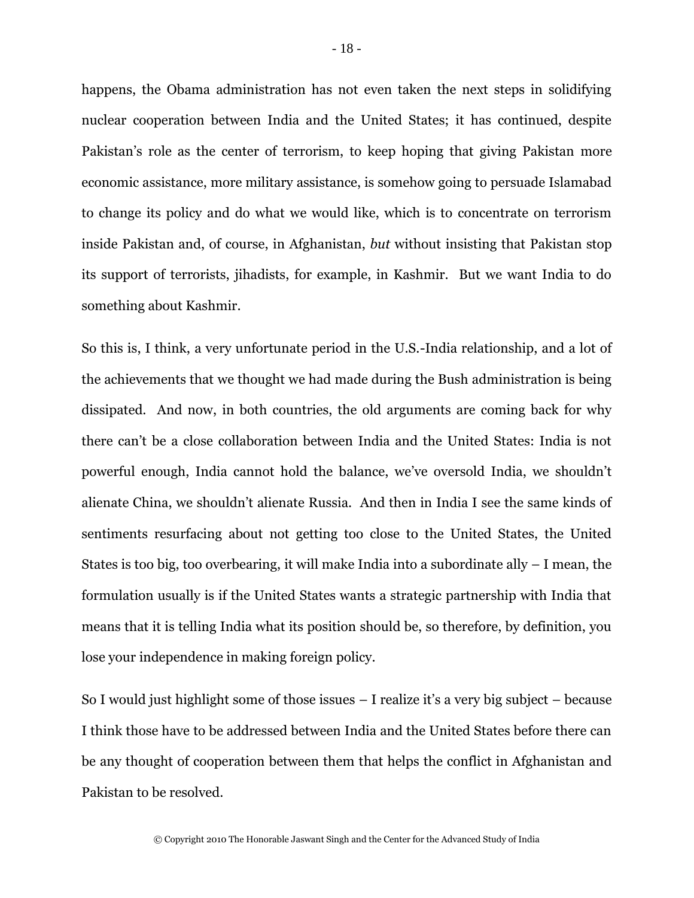happens, the Obama administration has not even taken the next steps in solidifying nuclear cooperation between India and the United States; it has continued, despite Pakistan's role as the center of terrorism, to keep hoping that giving Pakistan more economic assistance, more military assistance, is somehow going to persuade Islamabad to change its policy and do what we would like, which is to concentrate on terrorism inside Pakistan and, of course, in Afghanistan, *but* without insisting that Pakistan stop its support of terrorists, jihadists, for example, in Kashmir. But we want India to do something about Kashmir.

So this is, I think, a very unfortunate period in the U.S.-India relationship, and a lot of the achievements that we thought we had made during the Bush administration is being dissipated. And now, in both countries, the old arguments are coming back for why there can't be a close collaboration between India and the United States: India is not powerful enough, India cannot hold the balance, we've oversold India, we shouldn't alienate China, we shouldn't alienate Russia. And then in India I see the same kinds of sentiments resurfacing about not getting too close to the United States, the United States is too big, too overbearing, it will make India into a subordinate ally – I mean, the formulation usually is if the United States wants a strategic partnership with India that means that it is telling India what its position should be, so therefore, by definition, you lose your independence in making foreign policy.

So I would just highlight some of those issues – I realize it's a very big subject – because I think those have to be addressed between India and the United States before there can be any thought of cooperation between them that helps the conflict in Afghanistan and Pakistan to be resolved.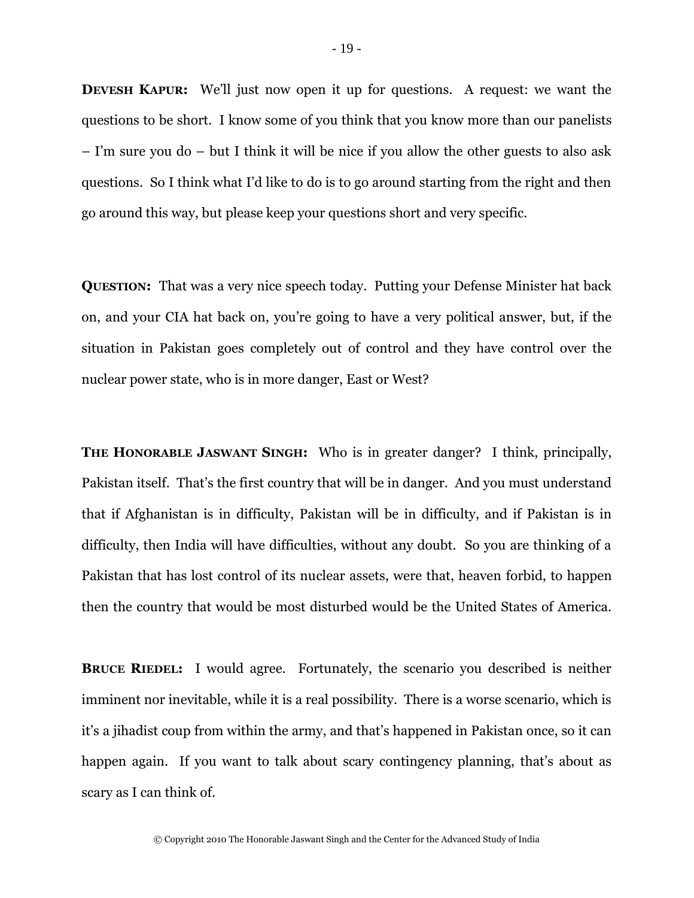**DEVESH KAPUR:** We'll just now open it up for questions. A request: we want the questions to be short. I know some of you think that you know more than our panelists – I'm sure you do – but I think it will be nice if you allow the other guests to also ask questions. So I think what I'd like to do is to go around starting from the right and then go around this way, but please keep your questions short and very specific.

**QUESTION:** That was a very nice speech today. Putting your Defense Minister hat back on, and your CIA hat back on, you're going to have a very political answer, but, if the situation in Pakistan goes completely out of control and they have control over the nuclear power state, who is in more danger, East or West?

**THE HONORABLE JASWANT SINGH:** Who is in greater danger? I think, principally, Pakistan itself. That's the first country that will be in danger. And you must understand that if Afghanistan is in difficulty, Pakistan will be in difficulty, and if Pakistan is in difficulty, then India will have difficulties, without any doubt. So you are thinking of a Pakistan that has lost control of its nuclear assets, were that, heaven forbid, to happen then the country that would be most disturbed would be the United States of America.

**BRUCE RIEDEL:** I would agree. Fortunately, the scenario you described is neither imminent nor inevitable, while it is a real possibility. There is a worse scenario, which is it's a jihadist coup from within the army, and that's happened in Pakistan once, so it can happen again. If you want to talk about scary contingency planning, that's about as scary as I can think of.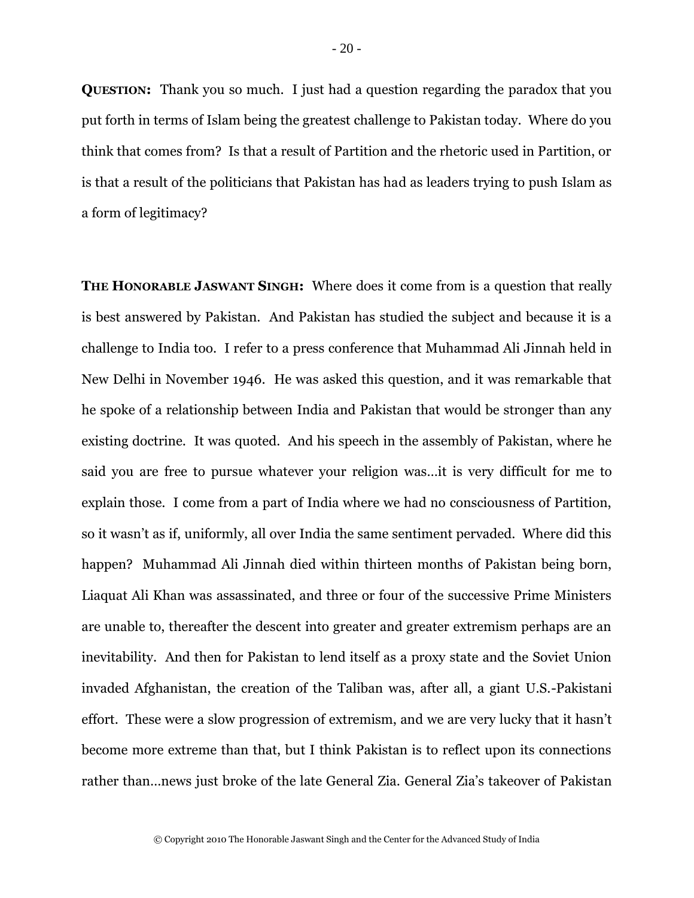**QUESTION:** Thank you so much. I just had a question regarding the paradox that you put forth in terms of Islam being the greatest challenge to Pakistan today. Where do you think that comes from? Is that a result of Partition and the rhetoric used in Partition, or is that a result of the politicians that Pakistan has had as leaders trying to push Islam as a form of legitimacy?

**THE HONORABLE JASWANT SINGH:** Where does it come from is a question that really is best answered by Pakistan. And Pakistan has studied the subject and because it is a challenge to India too. I refer to a press conference that Muhammad Ali Jinnah held in New Delhi in November 1946. He was asked this question, and it was remarkable that he spoke of a relationship between India and Pakistan that would be stronger than any existing doctrine. It was quoted. And his speech in the assembly of Pakistan, where he said you are free to pursue whatever your religion was…it is very difficult for me to explain those. I come from a part of India where we had no consciousness of Partition, so it wasn't as if, uniformly, all over India the same sentiment pervaded. Where did this happen? Muhammad Ali Jinnah died within thirteen months of Pakistan being born, Liaquat Ali Khan was assassinated, and three or four of the successive Prime Ministers are unable to, thereafter the descent into greater and greater extremism perhaps are an inevitability. And then for Pakistan to lend itself as a proxy state and the Soviet Union invaded Afghanistan, the creation of the Taliban was, after all, a giant U.S.-Pakistani effort. These were a slow progression of extremism, and we are very lucky that it hasn't become more extreme than that, but I think Pakistan is to reflect upon its connections rather than…news just broke of the late General Zia. General Zia's takeover of Pakistan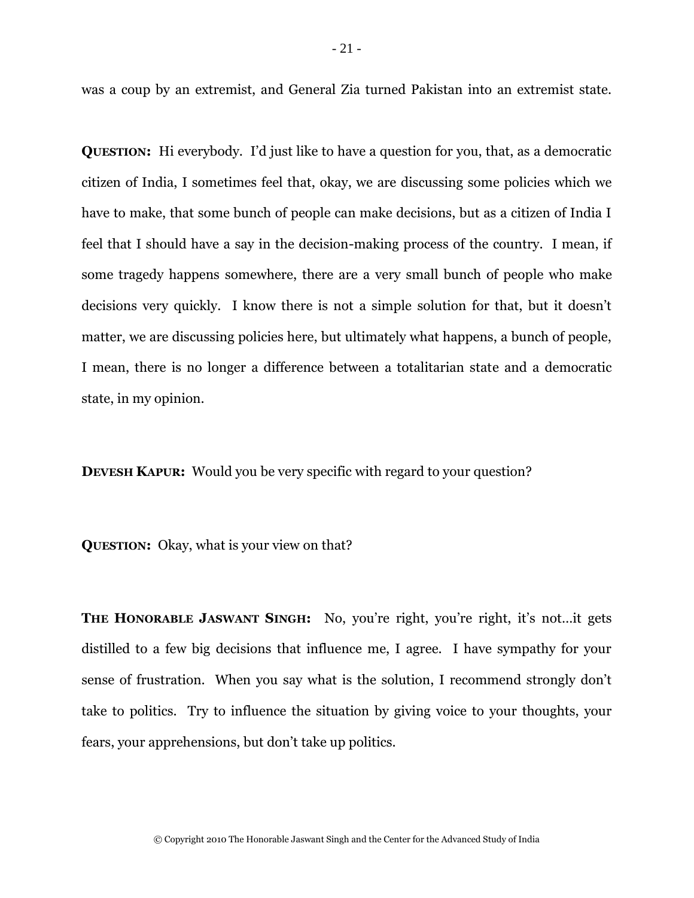was a coup by an extremist, and General Zia turned Pakistan into an extremist state.

**QUESTION:** Hi everybody. I'd just like to have a question for you, that, as a democratic citizen of India, I sometimes feel that, okay, we are discussing some policies which we have to make, that some bunch of people can make decisions, but as a citizen of India I feel that I should have a say in the decision-making process of the country. I mean, if some tragedy happens somewhere, there are a very small bunch of people who make decisions very quickly. I know there is not a simple solution for that, but it doesn't matter, we are discussing policies here, but ultimately what happens, a bunch of people, I mean, there is no longer a difference between a totalitarian state and a democratic state, in my opinion.

**DEVESH KAPUR:** Would you be very specific with regard to your question?

**QUESTION:** Okay, what is your view on that?

**THE HONORABLE JASWANT SINGH:** No, you're right, you're right, it's not…it gets distilled to a few big decisions that influence me, I agree. I have sympathy for your sense of frustration. When you say what is the solution, I recommend strongly don't take to politics. Try to influence the situation by giving voice to your thoughts, your fears, your apprehensions, but don't take up politics.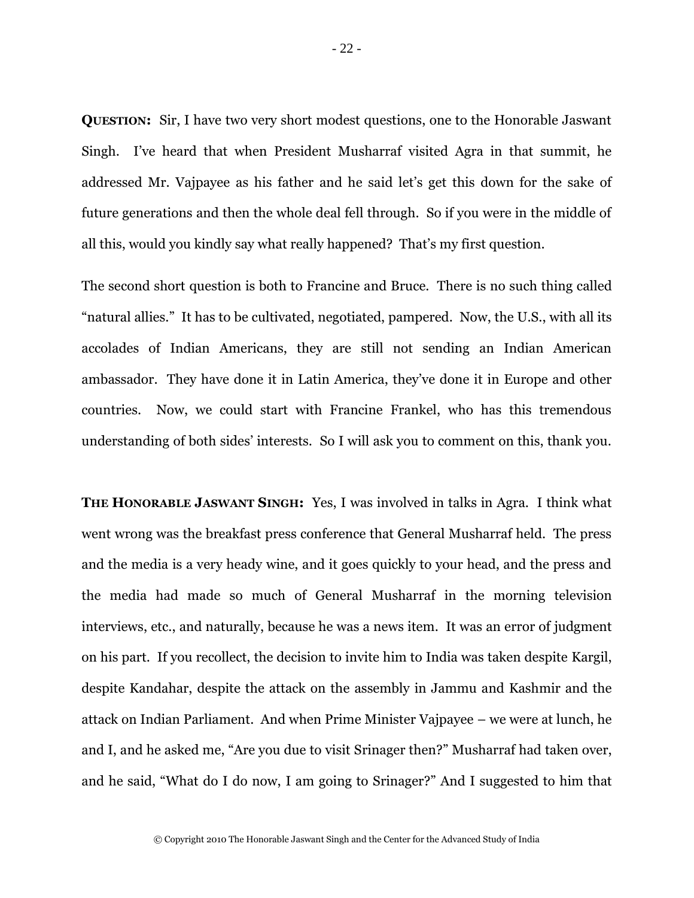**QUESTION:** Sir, I have two very short modest questions, one to the Honorable Jaswant Singh. I've heard that when President Musharraf visited Agra in that summit, he addressed Mr. Vajpayee as his father and he said let's get this down for the sake of future generations and then the whole deal fell through. So if you were in the middle of all this, would you kindly say what really happened? That's my first question.

The second short question is both to Francine and Bruce. There is no such thing called "natural allies." It has to be cultivated, negotiated, pampered. Now, the U.S., with all its accolades of Indian Americans, they are still not sending an Indian American ambassador. They have done it in Latin America, they've done it in Europe and other countries. Now, we could start with Francine Frankel, who has this tremendous understanding of both sides' interests. So I will ask you to comment on this, thank you.

**THE HONORABLE JASWANT SINGH:** Yes, I was involved in talks in Agra. I think what went wrong was the breakfast press conference that General Musharraf held. The press and the media is a very heady wine, and it goes quickly to your head, and the press and the media had made so much of General Musharraf in the morning television interviews, etc., and naturally, because he was a news item. It was an error of judgment on his part. If you recollect, the decision to invite him to India was taken despite Kargil, despite Kandahar, despite the attack on the assembly in Jammu and Kashmir and the attack on Indian Parliament. And when Prime Minister Vajpayee – we were at lunch, he and I, and he asked me, "Are you due to visit Srinager then?" Musharraf had taken over, and he said, "What do I do now, I am going to Srinager?" And I suggested to him that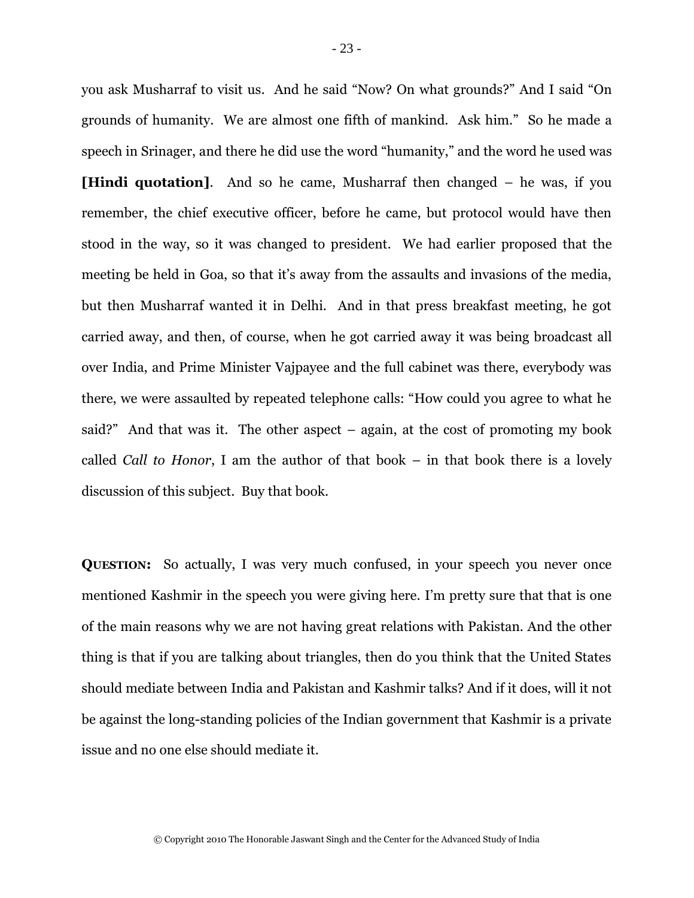you ask Musharraf to visit us. And he said "Now? On what grounds?" And I said "On grounds of humanity. We are almost one fifth of mankind. Ask him." So he made a speech in Srinager, and there he did use the word "humanity," and the word he used was **[Hindi quotation].** And so he came, Musharraf then changed – he was, if you remember, the chief executive officer, before he came, but protocol would have then stood in the way, so it was changed to president. We had earlier proposed that the meeting be held in Goa, so that it's away from the assaults and invasions of the media, but then Musharraf wanted it in Delhi. And in that press breakfast meeting, he got carried away, and then, of course, when he got carried away it was being broadcast all over India, and Prime Minister Vajpayee and the full cabinet was there, everybody was there, we were assaulted by repeated telephone calls: "How could you agree to what he said?" And that was it. The other aspect – again, at the cost of promoting my book called *Call to Honor*, I am the author of that book – in that book there is a lovely discussion of this subject. Buy that book.

**QUESTION:** So actually, I was very much confused, in your speech you never once mentioned Kashmir in the speech you were giving here. I'm pretty sure that that is one of the main reasons why we are not having great relations with Pakistan. And the other thing is that if you are talking about triangles, then do you think that the United States should mediate between India and Pakistan and Kashmir talks? And if it does, will it not be against the long-standing policies of the Indian government that Kashmir is a private issue and no one else should mediate it.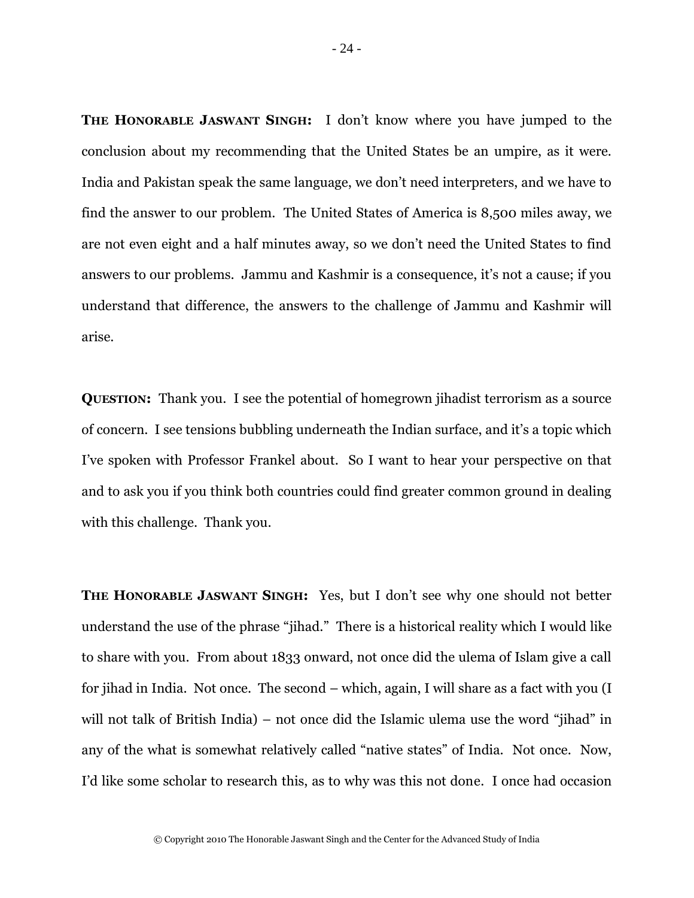**THE HONORABLE JASWANT SINGH:** I don't know where you have jumped to the conclusion about my recommending that the United States be an umpire, as it were. India and Pakistan speak the same language, we don't need interpreters, and we have to find the answer to our problem. The United States of America is 8,500 miles away, we are not even eight and a half minutes away, so we don't need the United States to find answers to our problems. Jammu and Kashmir is a consequence, it's not a cause; if you understand that difference, the answers to the challenge of Jammu and Kashmir will arise.

**QUESTION:** Thank you. I see the potential of homegrown jihadist terrorism as a source of concern. I see tensions bubbling underneath the Indian surface, and it's a topic which I've spoken with Professor Frankel about. So I want to hear your perspective on that and to ask you if you think both countries could find greater common ground in dealing with this challenge. Thank you.

**THE HONORABLE JASWANT SINGH:** Yes, but I don't see why one should not better understand the use of the phrase "jihad." There is a historical reality which I would like to share with you. From about 1833 onward, not once did the ulema of Islam give a call for jihad in India. Not once. The second – which, again, I will share as a fact with you (I will not talk of British India) – not once did the Islamic ulema use the word "jihad" in any of the what is somewhat relatively called "native states" of India. Not once. Now, I'd like some scholar to research this, as to why was this not done. I once had occasion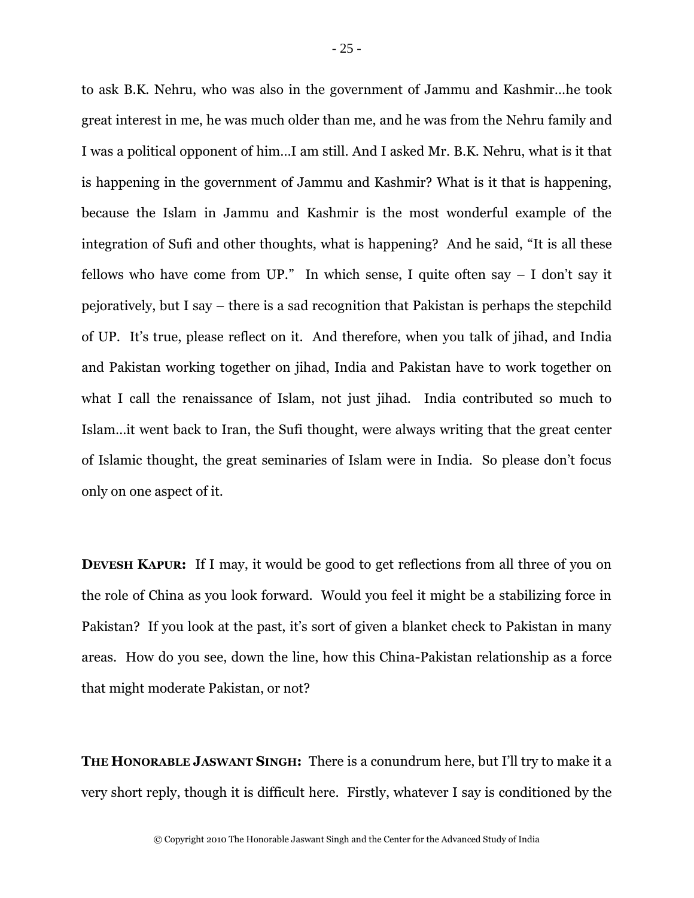to ask B.K. Nehru, who was also in the government of Jammu and Kashmir…he took great interest in me, he was much older than me, and he was from the Nehru family and I was a political opponent of him…I am still. And I asked Mr. B.K. Nehru, what is it that is happening in the government of Jammu and Kashmir? What is it that is happening, because the Islam in Jammu and Kashmir is the most wonderful example of the integration of Sufi and other thoughts, what is happening? And he said, "It is all these fellows who have come from UP." In which sense, I quite often say – I don't say it pejoratively, but I say – there is a sad recognition that Pakistan is perhaps the stepchild of UP. It's true, please reflect on it. And therefore, when you talk of jihad, and India and Pakistan working together on jihad, India and Pakistan have to work together on what I call the renaissance of Islam, not just jihad. India contributed so much to Islam…it went back to Iran, the Sufi thought, were always writing that the great center of Islamic thought, the great seminaries of Islam were in India. So please don't focus only on one aspect of it.

**DEVESH KAPUR:** If I may, it would be good to get reflections from all three of you on the role of China as you look forward. Would you feel it might be a stabilizing force in Pakistan? If you look at the past, it's sort of given a blanket check to Pakistan in many areas. How do you see, down the line, how this China-Pakistan relationship as a force that might moderate Pakistan, or not?

**THE HONORABLE JASWANT SINGH:** There is a conundrum here, but I'll try to make it a very short reply, though it is difficult here. Firstly, whatever I say is conditioned by the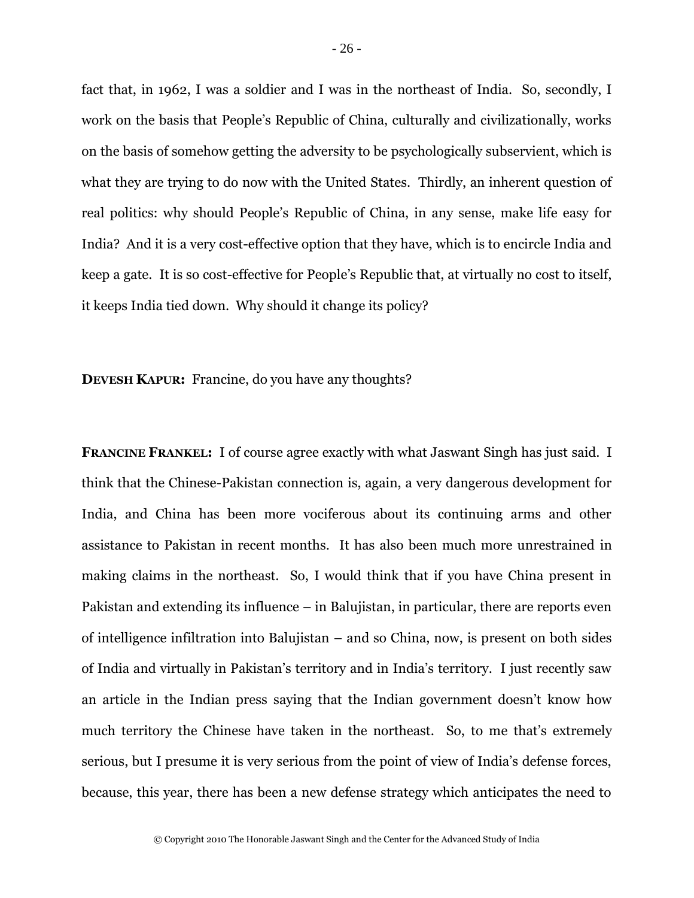fact that, in 1962, I was a soldier and I was in the northeast of India. So, secondly, I work on the basis that People's Republic of China, culturally and civilizationally, works on the basis of somehow getting the adversity to be psychologically subservient, which is what they are trying to do now with the United States. Thirdly, an inherent question of real politics: why should People's Republic of China, in any sense, make life easy for India? And it is a very cost-effective option that they have, which is to encircle India and keep a gate. It is so cost-effective for People's Republic that, at virtually no cost to itself, it keeps India tied down. Why should it change its policy?

**DEVESH KAPUR:** Francine, do you have any thoughts?

**FRANCINE FRANKEL:** I of course agree exactly with what Jaswant Singh has just said. I think that the Chinese-Pakistan connection is, again, a very dangerous development for India, and China has been more vociferous about its continuing arms and other assistance to Pakistan in recent months. It has also been much more unrestrained in making claims in the northeast. So, I would think that if you have China present in Pakistan and extending its influence – in Balujistan, in particular, there are reports even of intelligence infiltration into Balujistan – and so China, now, is present on both sides of India and virtually in Pakistan's territory and in India's territory. I just recently saw an article in the Indian press saying that the Indian government doesn't know how much territory the Chinese have taken in the northeast. So, to me that's extremely serious, but I presume it is very serious from the point of view of India's defense forces, because, this year, there has been a new defense strategy which anticipates the need to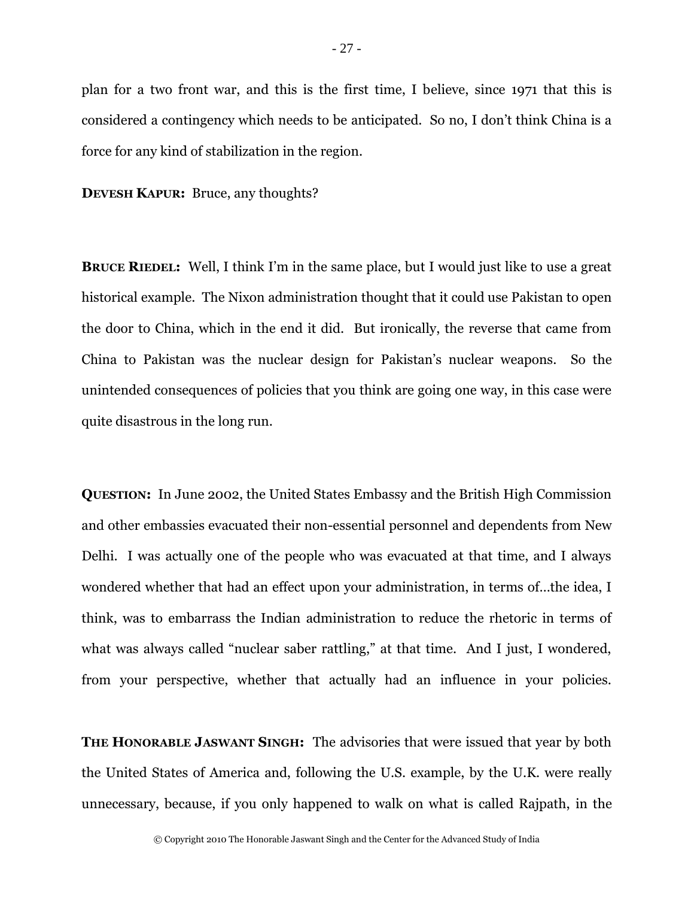plan for a two front war, and this is the first time, I believe, since 1971 that this is considered a contingency which needs to be anticipated. So no, I don't think China is a force for any kind of stabilization in the region.

**DEVESH KAPUR:** Bruce, any thoughts?

**BRUCE RIEDEL:** Well, I think I'm in the same place, but I would just like to use a great historical example. The Nixon administration thought that it could use Pakistan to open the door to China, which in the end it did. But ironically, the reverse that came from China to Pakistan was the nuclear design for Pakistan's nuclear weapons. So the unintended consequences of policies that you think are going one way, in this case were quite disastrous in the long run.

**QUESTION:** In June 2002, the United States Embassy and the British High Commission and other embassies evacuated their non-essential personnel and dependents from New Delhi. I was actually one of the people who was evacuated at that time, and I always wondered whether that had an effect upon your administration, in terms of…the idea, I think, was to embarrass the Indian administration to reduce the rhetoric in terms of what was always called "nuclear saber rattling," at that time. And I just, I wondered, from your perspective, whether that actually had an influence in your policies.

**THE HONORABLE JASWANT SINGH:** The advisories that were issued that year by both the United States of America and, following the U.S. example, by the U.K. were really unnecessary, because, if you only happened to walk on what is called Rajpath, in the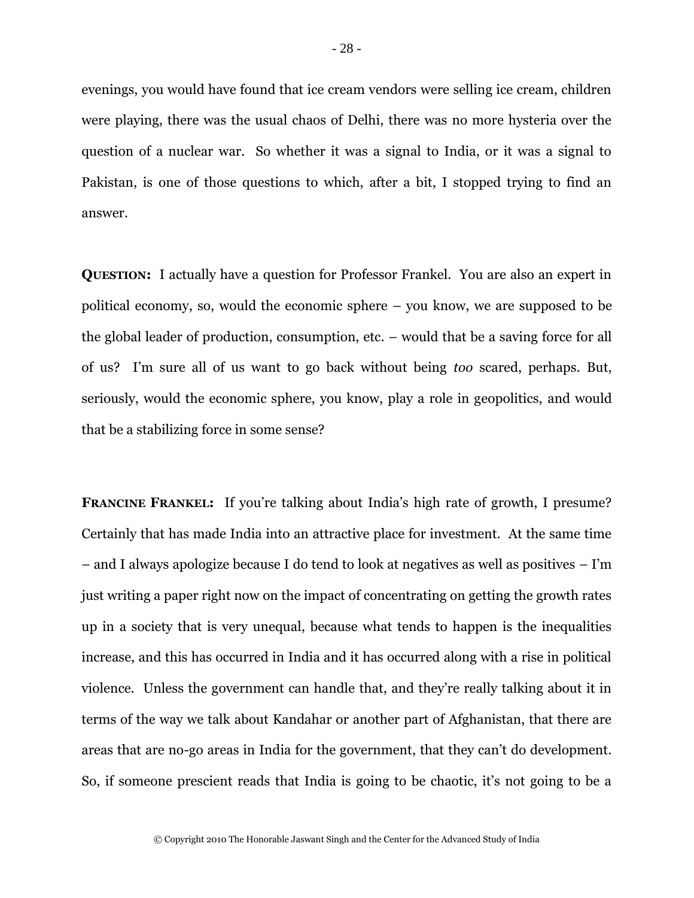evenings, you would have found that ice cream vendors were selling ice cream, children were playing, there was the usual chaos of Delhi, there was no more hysteria over the question of a nuclear war. So whether it was a signal to India, or it was a signal to Pakistan, is one of those questions to which, after a bit, I stopped trying to find an answer.

**QUESTION:** I actually have a question for Professor Frankel. You are also an expert in political economy, so, would the economic sphere – you know, we are supposed to be the global leader of production, consumption, etc. – would that be a saving force for all of us? I'm sure all of us want to go back without being *too* scared, perhaps. But, seriously, would the economic sphere, you know, play a role in geopolitics, and would that be a stabilizing force in some sense?

**FRANCINE FRANKEL:** If you're talking about India's high rate of growth, I presume? Certainly that has made India into an attractive place for investment. At the same time – and I always apologize because I do tend to look at negatives as well as positives – I'm just writing a paper right now on the impact of concentrating on getting the growth rates up in a society that is very unequal, because what tends to happen is the inequalities increase, and this has occurred in India and it has occurred along with a rise in political violence. Unless the government can handle that, and they're really talking about it in terms of the way we talk about Kandahar or another part of Afghanistan, that there are areas that are no-go areas in India for the government, that they can't do development. So, if someone prescient reads that India is going to be chaotic, it's not going to be a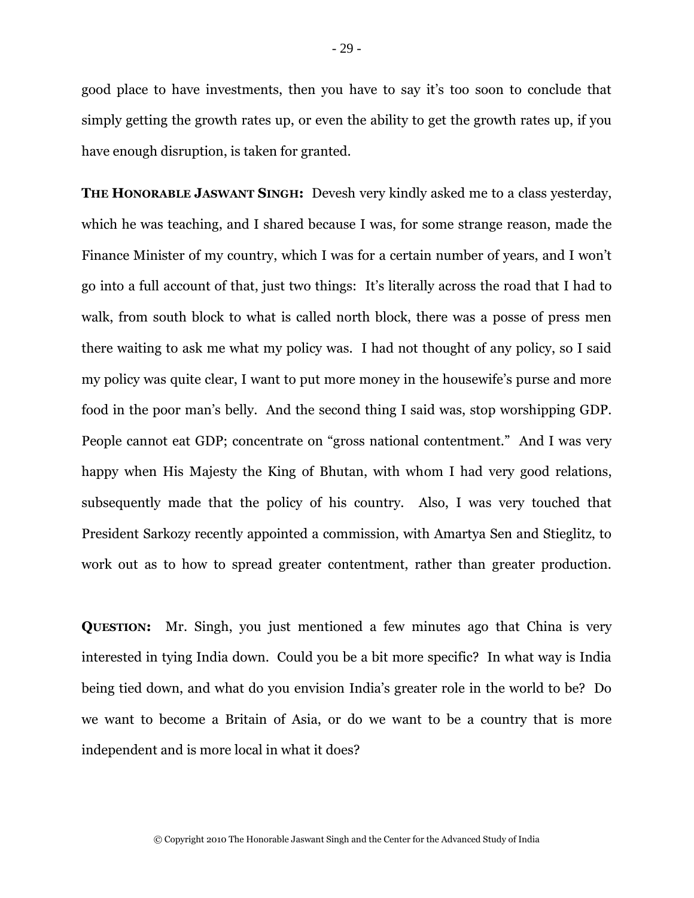good place to have investments, then you have to say it's too soon to conclude that simply getting the growth rates up, or even the ability to get the growth rates up, if you have enough disruption, is taken for granted.

**THE HONORABLE JASWANT SINGH:** Devesh very kindly asked me to a class yesterday, which he was teaching, and I shared because I was, for some strange reason, made the Finance Minister of my country, which I was for a certain number of years, and I won't go into a full account of that, just two things: It's literally across the road that I had to walk, from south block to what is called north block, there was a posse of press men there waiting to ask me what my policy was. I had not thought of any policy, so I said my policy was quite clear, I want to put more money in the housewife's purse and more food in the poor man's belly. And the second thing I said was, stop worshipping GDP. People cannot eat GDP; concentrate on "gross national contentment." And I was very happy when His Majesty the King of Bhutan, with whom I had very good relations, subsequently made that the policy of his country. Also, I was very touched that President Sarkozy recently appointed a commission, with Amartya Sen and Stieglitz, to work out as to how to spread greater contentment, rather than greater production.

**QUESTION:** Mr. Singh, you just mentioned a few minutes ago that China is very interested in tying India down. Could you be a bit more specific? In what way is India being tied down, and what do you envision India's greater role in the world to be? Do we want to become a Britain of Asia, or do we want to be a country that is more independent and is more local in what it does?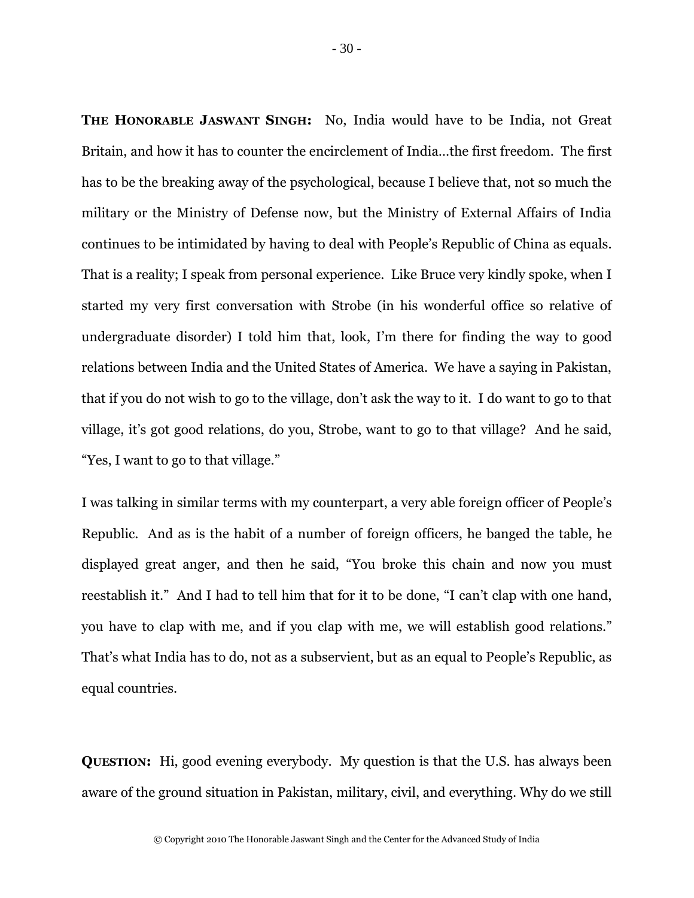**THE HONORABLE JASWANT SINGH:** No, India would have to be India, not Great Britain, and how it has to counter the encirclement of India…the first freedom. The first has to be the breaking away of the psychological, because I believe that, not so much the military or the Ministry of Defense now, but the Ministry of External Affairs of India continues to be intimidated by having to deal with People's Republic of China as equals. That is a reality; I speak from personal experience. Like Bruce very kindly spoke, when I started my very first conversation with Strobe (in his wonderful office so relative of undergraduate disorder) I told him that, look, I'm there for finding the way to good relations between India and the United States of America. We have a saying in Pakistan, that if you do not wish to go to the village, don't ask the way to it. I do want to go to that village, it's got good relations, do you, Strobe, want to go to that village? And he said, "Yes, I want to go to that village."

I was talking in similar terms with my counterpart, a very able foreign officer of People's Republic. And as is the habit of a number of foreign officers, he banged the table, he displayed great anger, and then he said, "You broke this chain and now you must reestablish it." And I had to tell him that for it to be done, "I can't clap with one hand, you have to clap with me, and if you clap with me, we will establish good relations." That's what India has to do, not as a subservient, but as an equal to People's Republic, as equal countries.

**QUESTION:** Hi, good evening everybody. My question is that the U.S. has always been aware of the ground situation in Pakistan, military, civil, and everything. Why do we still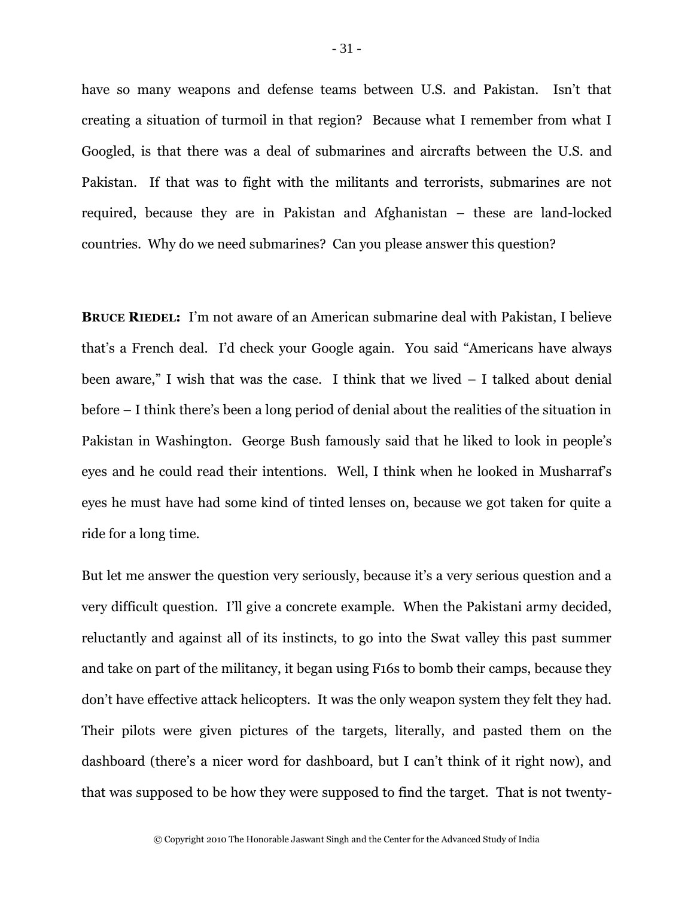have so many weapons and defense teams between U.S. and Pakistan. Isn't that creating a situation of turmoil in that region? Because what I remember from what I Googled, is that there was a deal of submarines and aircrafts between the U.S. and Pakistan. If that was to fight with the militants and terrorists, submarines are not required, because they are in Pakistan and Afghanistan – these are land-locked countries. Why do we need submarines? Can you please answer this question?

**BRUCE RIEDEL:** I'm not aware of an American submarine deal with Pakistan, I believe that's a French deal. I'd check your Google again. You said "Americans have always been aware," I wish that was the case. I think that we lived – I talked about denial before – I think there's been a long period of denial about the realities of the situation in Pakistan in Washington. George Bush famously said that he liked to look in people's eyes and he could read their intentions. Well, I think when he looked in Musharraf's eyes he must have had some kind of tinted lenses on, because we got taken for quite a ride for a long time.

But let me answer the question very seriously, because it's a very serious question and a very difficult question. I'll give a concrete example. When the Pakistani army decided, reluctantly and against all of its instincts, to go into the Swat valley this past summer and take on part of the militancy, it began using F16s to bomb their camps, because they don't have effective attack helicopters. It was the only weapon system they felt they had. Their pilots were given pictures of the targets, literally, and pasted them on the dashboard (there's a nicer word for dashboard, but I can't think of it right now), and that was supposed to be how they were supposed to find the target. That is not twenty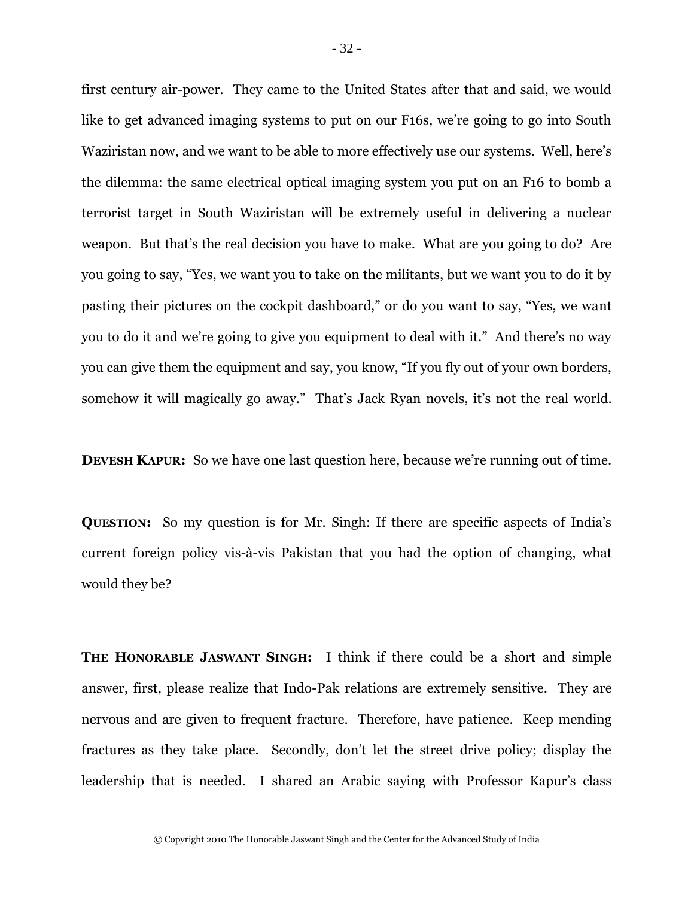first century air-power. They came to the United States after that and said, we would like to get advanced imaging systems to put on our F16s, we're going to go into South Waziristan now, and we want to be able to more effectively use our systems. Well, here's the dilemma: the same electrical optical imaging system you put on an F16 to bomb a terrorist target in South Waziristan will be extremely useful in delivering a nuclear weapon. But that's the real decision you have to make. What are you going to do? Are you going to say, "Yes, we want you to take on the militants, but we want you to do it by pasting their pictures on the cockpit dashboard," or do you want to say, "Yes, we want you to do it and we're going to give you equipment to deal with it." And there's no way you can give them the equipment and say, you know, "If you fly out of your own borders, somehow it will magically go away." That's Jack Ryan novels, it's not the real world.

**DEVESH KAPUR:** So we have one last question here, because we're running out of time.

**QUESTION:** So my question is for Mr. Singh: If there are specific aspects of India's current foreign policy vis-à-vis Pakistan that you had the option of changing, what would they be?

**THE HONORABLE JASWANT SINGH:** I think if there could be a short and simple answer, first, please realize that Indo-Pak relations are extremely sensitive. They are nervous and are given to frequent fracture. Therefore, have patience. Keep mending fractures as they take place. Secondly, don't let the street drive policy; display the leadership that is needed. I shared an Arabic saying with Professor Kapur's class